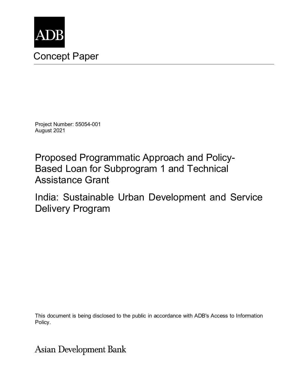

Project Number: 55054-001 August 2021

Proposed Programmatic Approach and Policy-Based Loan for Subprogram 1 and Technical Assistance Grant

India: Sustainable Urban Development and Service Delivery Program

This document is being disclosed to the public in accordance with ADB's Access to Information Policy.

**Asian Development Bank**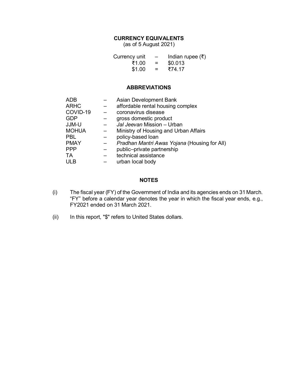## **CURRENCY EQUIVALENTS**

(as of 5 August 2021)

| Currency unit | $\overline{\phantom{0}}$ | Indian rupee $(\bar{\tau})$ |
|---------------|--------------------------|-----------------------------|
| ₹1.00         | $=$                      | \$0.013                     |
| \$1.00        | $=$                      | ₹74.17                      |

#### **ABBREVIATIONS**

| <b>ADB</b>   | Asian Development Bank                       |
|--------------|----------------------------------------------|
| <b>ARHC</b>  | affordable rental housing complex            |
| COVID-19     | coronavirus disease                          |
| <b>GDP</b>   | gross domestic product                       |
| JJM-U        | Jal Jeevan Mission - Urban                   |
| <b>MOHUA</b> | Ministry of Housing and Urban Affairs        |
| <b>PBL</b>   | policy-based loan                            |
| <b>PMAY</b>  | Pradhan Mantri Awas Yojana (Housing for All) |
| <b>PPP</b>   | public-private partnership                   |
| <b>TA</b>    | technical assistance                         |
| <b>ULB</b>   | urban local body                             |

#### **NOTES**

- (i) The fiscal year (FY) of the Government of India and its agencies ends on 31 March. "FY" before a calendar year denotes the year in which the fiscal year ends, e.g., FY2021 ended on 31 March 2021.
- (ii) In this report, "\$" refers to United States dollars.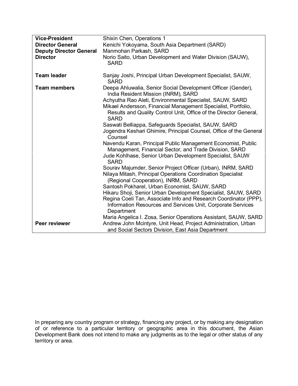| <b>Vice-President</b>          | Shixin Chen, Operations 1                                                                                                                                                                                     |
|--------------------------------|---------------------------------------------------------------------------------------------------------------------------------------------------------------------------------------------------------------|
| <b>Director General</b>        | Kenichi Yokoyama, South Asia Department (SARD)                                                                                                                                                                |
| <b>Deputy Director General</b> | Manmohan Parkash, SARD                                                                                                                                                                                        |
| <b>Director</b>                | Norio Saito, Urban Development and Water Division (SAUW),<br><b>SARD</b>                                                                                                                                      |
| <b>Team leader</b>             | Sanjay Joshi, Principal Urban Development Specialist, SAUW,<br><b>SARD</b>                                                                                                                                    |
| <b>Team members</b>            | Deepa Ahluwalia, Senior Social Development Officer (Gender),<br>India Resident Mission (INRM), SARD                                                                                                           |
|                                | Achyutha Rao Aleti, Environmental Specialist, SAUW, SARD<br>Mikael Andersson, Financial Management Specialist, Portfolio,<br>Results and Quality Control Unit, Office of the Director General,<br><b>SARD</b> |
|                                | Saswati Belliappa, Safeguards Specialist, SAUW, SARD<br>Jogendra Keshari Ghimire, Principal Counsel, Office of the General<br>Counsel                                                                         |
|                                | Navendu Karan, Principal Public Management Economist, Public<br>Management, Financial Sector, and Trade Division, SARD                                                                                        |
|                                | Jude Kohlhase, Senior Urban Development Specialist, SAUW<br><b>SARD</b>                                                                                                                                       |
|                                | Sourav Majumder, Senior Project Officer (Urban), INRM, SARD                                                                                                                                                   |
|                                | Nilaya Mitash, Principal Operations Coordination Specialist                                                                                                                                                   |
|                                | (Regional Cooperation), INRM, SARD                                                                                                                                                                            |
|                                | Santosh Pokharel, Urban Economist, SAUW, SARD                                                                                                                                                                 |
|                                | Hikaru Shoji, Senior Urban Development Specialist, SAUW, SARD                                                                                                                                                 |
|                                | Regina Coeli Tan, Associate Info and Research Coordinator (PPP),<br>Information Resources and Services Unit, Corporate Services<br>Department                                                                 |
|                                | Maria Angelica I. Zosa, Senior Operations Assistant, SAUW, SARD                                                                                                                                               |
| Peer reviewer                  | Andrew John Mcintyre, Unit Head, Project Administration, Urban<br>and Social Sectors Division, East Asia Department                                                                                           |

In preparing any country program or strategy, financing any project, or by making any designation of or reference to a particular territory or geographic area in this document, the Asian Development Bank does not intend to make any judgments as to the legal or other status of any territory or area.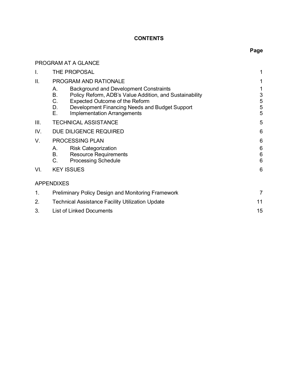## **CONTENTS**

# **Page**

|      | PROGRAM AT A GLANCE                                                                                                                                                                                                                                              |                           |  |  |  |  |  |  |
|------|------------------------------------------------------------------------------------------------------------------------------------------------------------------------------------------------------------------------------------------------------------------|---------------------------|--|--|--|--|--|--|
| I.   | THE PROPOSAL<br>1                                                                                                                                                                                                                                                |                           |  |  |  |  |  |  |
| Ш.   | <b>PROGRAM AND RATIONALE</b>                                                                                                                                                                                                                                     | 1                         |  |  |  |  |  |  |
|      | <b>Background and Development Constraints</b><br>Α.<br>В.<br>Policy Reform, ADB's Value Addition, and Sustainability<br>C.<br>Expected Outcome of the Reform<br>D.<br>Development Financing Needs and Budget Support<br>Ε.<br><b>Implementation Arrangements</b> | 1<br>3<br>5<br>5<br>5     |  |  |  |  |  |  |
| III. | <b>TECHNICAL ASSISTANCE</b>                                                                                                                                                                                                                                      | 5                         |  |  |  |  |  |  |
| IV.  | DUE DILIGENCE REQUIRED                                                                                                                                                                                                                                           |                           |  |  |  |  |  |  |
| V.   | <b>PROCESSING PLAN</b>                                                                                                                                                                                                                                           | 6                         |  |  |  |  |  |  |
|      | <b>Risk Categorization</b><br>А.<br><b>B.</b><br><b>Resource Requirements</b><br>C.<br><b>Processing Schedule</b>                                                                                                                                                | 6<br>$6\phantom{1}6$<br>6 |  |  |  |  |  |  |
| VI.  | <b>KEY ISSUES</b>                                                                                                                                                                                                                                                | 6                         |  |  |  |  |  |  |
|      | <b>APPENDIXES</b>                                                                                                                                                                                                                                                |                           |  |  |  |  |  |  |
| 1.   | <b>Preliminary Policy Design and Monitoring Framework</b>                                                                                                                                                                                                        | 7                         |  |  |  |  |  |  |
| 2.   | <b>Technical Assistance Facility Utilization Update</b>                                                                                                                                                                                                          | 11                        |  |  |  |  |  |  |
| 3.   | <b>List of Linked Documents</b>                                                                                                                                                                                                                                  | 15                        |  |  |  |  |  |  |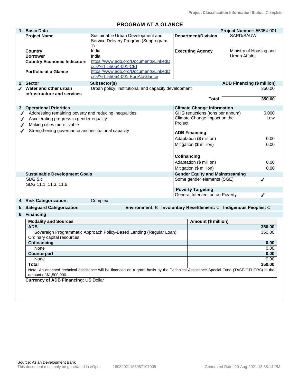# **PROGRAM AT A GLANCE**

| 1. | <b>Basic Data</b>                                                      |                                                                                 |                                                                  | Project Number: 55054-001         |  |  |  |
|----|------------------------------------------------------------------------|---------------------------------------------------------------------------------|------------------------------------------------------------------|-----------------------------------|--|--|--|
|    | <b>Project Name</b>                                                    | Sustainable Urban Development and<br>Service Delivery Program (Subprogram<br>1) | <b>Department/Division</b>                                       | SARD/SAUW                         |  |  |  |
|    | Country                                                                | India                                                                           | <b>Executing Agency</b>                                          | Ministry of Housing and           |  |  |  |
|    | <b>Borrower</b>                                                        | India                                                                           |                                                                  | <b>Urban Affairs</b>              |  |  |  |
|    | <b>Country Economic Indicators</b>                                     | https://www.adb.org/Documents/LinkedD<br>ocs/?id=55054-001-CEI                  |                                                                  |                                   |  |  |  |
|    | <b>Portfolio at a Glance</b>                                           | https://www.adb.org/Documents/LinkedD<br>ocs/?id=55054-001-PortAtaGlance        |                                                                  |                                   |  |  |  |
|    | 2. Sector                                                              | Subsector(s)                                                                    |                                                                  | <b>ADB Financing (\$ million)</b> |  |  |  |
|    | ✔ Water and other urban<br>infrastructure and services                 | Urban policy, institutional and capacity development                            |                                                                  | 350.00                            |  |  |  |
|    |                                                                        |                                                                                 | <b>Total</b>                                                     | 350.00                            |  |  |  |
|    | 3. Operational Priorities                                              |                                                                                 | <b>Climate Change Information</b>                                |                                   |  |  |  |
|    | Addressing remaining poverty and reducing inequalities                 |                                                                                 | GHG reductions (tons per annum)                                  | 0.000                             |  |  |  |
| ◢  | Accelerating progress in gender equality<br>Making cities more livable |                                                                                 | Climate Change impact on the<br>Low<br>Project                   |                                   |  |  |  |
|    | Strengthening governance and institutional capacity                    |                                                                                 | <b>ADB Financing</b>                                             |                                   |  |  |  |
|    |                                                                        |                                                                                 | Adaptation (\$ million)                                          | 0.00                              |  |  |  |
|    |                                                                        |                                                                                 | Mitigation (\$ million)                                          | 0.00                              |  |  |  |
|    |                                                                        |                                                                                 | Cofinancing                                                      |                                   |  |  |  |
|    |                                                                        |                                                                                 | Adaptation (\$ million)                                          | 0.00                              |  |  |  |
|    |                                                                        |                                                                                 | Mitigation (\$ million)                                          | 0.00                              |  |  |  |
|    | <b>Sustainable Development Goals</b>                                   |                                                                                 | <b>Gender Equity and Mainstreaming</b>                           |                                   |  |  |  |
|    | SDG 5.c<br>SDG 11.1, 11.3, 11.6                                        |                                                                                 | Some gender elements (SGE)                                       | ℐ                                 |  |  |  |
|    |                                                                        |                                                                                 | <b>Poverty Targeting</b>                                         |                                   |  |  |  |
|    |                                                                        |                                                                                 | General Intervention on Poverty                                  | ℐ                                 |  |  |  |
|    | 4. Risk Categorization:                                                | Complex                                                                         |                                                                  |                                   |  |  |  |
|    | 5. Safeguard Categorization                                            |                                                                                 | Environment: B Involuntary Resettlement: C Indigenous Peoples: C |                                   |  |  |  |
|    | 6. Financing                                                           |                                                                                 |                                                                  |                                   |  |  |  |
|    | <b>Modality and Sources</b>                                            |                                                                                 | Amount (\$ million)                                              |                                   |  |  |  |

| <b>INVUGHLY GITU OUUI UGS</b>                                                                                                                                    | ATTIVATIL (V TITTINUT) |
|------------------------------------------------------------------------------------------------------------------------------------------------------------------|------------------------|
| <b>ADB</b>                                                                                                                                                       | 350.00                 |
| Sovereign Programmatic Approach Policy-Based Lending (Regular Loan):                                                                                             | 350.00                 |
| Ordinary capital resources                                                                                                                                       |                        |
| Cofinancing                                                                                                                                                      | 0.00                   |
| None                                                                                                                                                             | 0.00                   |
| <b>Counterpart</b>                                                                                                                                               | 0.00                   |
| None                                                                                                                                                             | 0.00                   |
| Total                                                                                                                                                            | 350.00                 |
| Note: An attached technical assistance will be financed on a grant basis by the Technical Assistance Special Fund (TASF-OTHERS) in the<br>amount of \$1,500,000. |                        |
| <b>Currency of ADB Financing: US Dollar</b>                                                                                                                      |                        |
|                                                                                                                                                                  |                        |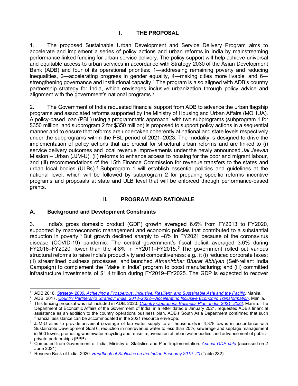## **I. THE PROPOSAL**

<span id="page-5-0"></span>1. The proposed Sustainable Urban Development and Service Delivery Program aims to accelerate and implement a series of policy actions and urban reforms in India by mainstreaming performance-linked funding for urban service delivery. The policy support will help achieve universal and equitable access to urban services in accordance with Strategy 2030 of the Asian Development Bank (ADB) and four of its operational priorities: 1—addressing remaining poverty and reducing inequalities, 2—accelerating progress in gender equality, 4—making cities more livable, and 6— strengthening governance and institutional capacity.<sup>[1](#page-5-3)</sup> The program is also aligned with ADB's country partnership strategy for India, which envisages inclusive urbanization through policy advice and alignment with the government's national programs. $^{\rm 2}$  $^{\rm 2}$  $^{\rm 2}$ 

2. The Government of India requested financial support from ADB to advance the urban flagship programs and associated reforms supported by the Ministry of Housing and Urban Affairs (MOHUA). A policy-based loan (PBL) using a programmatic approach<sup>3</sup> with two subprograms (subprogram 1 for \$350 million, and subprogram 2 for \$350 million) is proposed to support policy actions in a sequential manner and to ensure that reforms are undertaken coherently at national and state levels respectively under the subprograms within the PBL period of 2021–2023. The modality is designed to drive the implementation of policy actions that are crucial for structural urban reforms and are linked to (i) service delivery outcomes and local revenue improvements under the newly announced *Jal Jeevan* Mission – Urban (JJM-U), (ii) reforms to enhance access to housing for the poor and migrant labour, and (iii) recommendations of the 15th Finance Commission for revenue transfers to the states and urban local bodies (ULBs).<sup>[4](#page-5-6)</sup> Subprogram 1 will establish essential policies and guidelines at the national level, which will be followed by subprogram 2 for preparing specific reforms incentive programs and proposals at state and ULB level that will be enforced through performance-based grants.

## **II. PROGRAM AND RATIONALE**

#### <span id="page-5-2"></span><span id="page-5-1"></span>**A. Background and Development Constraints**

3. India's gross domestic product (GDP) growth averaged 6.6% from FY2013 to FY2020, supported by macroeconomic management and economic policies that contributed to a substantial reduction in poverty.<sup>[5](#page-5-7)</sup> But growth declined sharply to –8% in FY2021 because of the coronavirus disease (COVID-19) pandemic. The central government's fiscal deficit averaged 3.6% during FY2016–FY2020, lower than the 4.8% in FY2011–FY2015. [6](#page-5-8) The government rolled out various structural reforms to raise India's productivity and competitiveness: e.g., it (i) reduced corporate taxes; (ii) streamlined business processes, and launched *Atmanirbhar Bharat Abhiyan* (Self-reliant India Campaign) to complement the "Make in India" program to boost manufacturing; and (iii) committed infrastructure investments of \$1.4 trillion during FY2019–FY2025. The GDP is expected to recover

<span id="page-5-3"></span><sup>1</sup> ADB.2018. *[Strategy 2030: Achieving a Prosperous, Inclusive, Resilient, and Sustainable Asia and the Pacific](https://www.adb.org/sites/default/files/institutional-document/435391/strategy-2030-main-document.pdf)*. Manila.

<span id="page-5-4"></span><sup>2</sup> ADB. 2017. *[Country Partnership Strategy: India, 2018–2022—Accelerating Inclusive Economic Transformation](https://www.adb.org/sites/default/files/institutional-document/363331/cps-ind-2018-2022.pdf)*. Manila.

<span id="page-5-5"></span><sup>3</sup> This lending proposal was not included in ADB. 2020. *[Country Operations Business Plan: India,](https://www.adb.org/sites/default/files/institutional-document/633571/cobp-ind-2021-2023.pdf) 2021–2023.* Manila. The Department of Economic Affairs of the Government of India, in a letter dated 6 January 2021, requested ADB's financial assistance as an addition to the country operations business plan. ADB's South Asia Department confirmed that such financial assistance can be accommodated in the 2021 resource envelope.

<span id="page-5-6"></span> $4$  JJM-U aims to provide universal coverage of tap water supply to all households in 4,378 towns in accordance with Sustainable Development Goal 6, reduction in nonrevenue water to less than 20%, sewerage and septage management in 500 towns, promoting wastewater recycling and reuse, rejuvenation of urban water bodies, and advancement of publicprivate partnerships (PPP).

<span id="page-5-7"></span><sup>5</sup> Computed from Government of India, Ministry of Statistics and Plan Implementation. *[Annual GDP data](http://mospi.nic.in/data)* (accessed on 2 June 2021).

<span id="page-5-8"></span><sup>6</sup> Reserve Bank of India. 2020. *[Handbook of Statistics on](https://rbidocs.rbi.org.in/rdocs/Publications/PDFs/0HBS202024D4CA0CC03F4674B040F7DEDE7E5360.PDF) the Indian Economy 2019–20* (Table 232).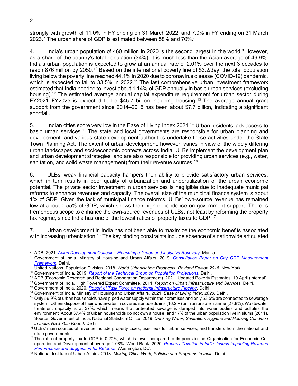strongly with growth of 11.0% in FY ending on 31 March 2022, and 7.0% in FY ending on 31 March 2023.<sup>[7](#page-6-0)</sup> The urban share of GDP is estimated between 5[8](#page-6-1)% and 70%.<sup>8</sup>

4. India's urban population of 460 million in 2020 is the second largest in the world.[9](#page-6-2) However, as a share of the country's total population (34%), it is much less than the Asian average of 49.9%. India's urban population is expected to grow at an annual rate of 2.01% over the next 3 decades to reach 876 million by 2050.<sup>[10](#page-6-3)</sup> Based on the international poverty line of \$3.2/day, the total population living below the poverty line reached 44.1% in 2020 due to coronavirus disease (COVID-19) pandemic, which is expected to fall to 33.5% in 2022.<sup>[11](#page-6-4)</sup> The last comprehensive urban investment framework estimated that India needed to invest about 1.14% of GDP annually in basic urban services (excluding housing). [12](#page-6-5) The estimated average annual capital expenditure requirement for urban sector during FY2021–FY2025 is expected to be \$45.7 billion including housing. [13](#page-6-6) The average annual grant support from the government since 2014–2015 has been about \$7.7 billion, indicating a significant shortfall.

5. Indian cities score very low in the Ease of Living Index 2021.<sup>[14](#page-6-7)</sup> Urban residents lack access to basic urban services.<sup>[15](#page-6-8)</sup> The state and local governments are responsible for urban planning and development, and various state development authorities undertake these activities under the State Town Planning Act. The extent of urban development, however, varies in view of the widely differing urban landscapes and socioeconomic contexts across India. ULBs implement the development plan and urban development strategies, and are also responsible for providing urban services (e.g., water, sanitation, and solid waste management) from their revenue sources.<sup>[16](#page-6-9)</sup>

6. ULBs' weak financial capacity hampers their ability to provide satisfactory urban services, which in turn results in poor quality of urbanization and underutilization of the urban economic potential. The private sector investment in urban services is negligible due to inadequate municipal reforms to enhance revenues and capacity. The overall size of the municipal finance system is about 1% of GDP. Given the lack of municipal finance reforms, ULBs' own-source revenue has remained low at about 0.55% of GDP, which shows their high dependence on government support. There is tremendous scope to enhance the own-source revenues of ULBs, not least by reforming the property tax regime, since India has one of the lowest ratios of property taxes to GDP.<sup>[17](#page-6-10)</sup>

7. Urban development in India has not been able to maximize the economic benefits associated with increasing urbanization.<sup>[18](#page-6-11)</sup> The key binding constraints include absence of a nationwide articulated

<span id="page-6-0"></span><sup>7</sup> ADB. 2021. *Asian Development Outlook – [Financing a Green and Inclusive Recovery](https://www.adb.org/publications/asian-development-outlook-2021)*. Manila.

<span id="page-6-1"></span><sup>8</sup> Government of India, Ministry of Housing and Urban Affairs. 2019. *[Consultation Paper on City GDP Measurement](https://smartnet.niua.org/sites/default/files/resources/city_gdp_measurement_framework.pdf)  [Framework.](https://smartnet.niua.org/sites/default/files/resources/city_gdp_measurement_framework.pdf)* Delhi.

<span id="page-6-2"></span><sup>&</sup>lt;sup>9</sup> United Nations, Population Division. 2018. *World Urbanisation Prospects, Revised Edition 2018*. New York.<br><sup>10</sup> Government of India. 2019. *Report of the Technical Group on Population Projections*. Delhi.<br><sup>11</sup> ADB (Eco

<span id="page-6-3"></span>

<span id="page-6-6"></span><span id="page-6-5"></span><span id="page-6-4"></span><sup>&</sup>lt;sup>12</sup> Government of India, High Powered Expert Committee. 2011. Report on Urban Infrastructure and Services. Delhi.

<sup>13</sup> Government of India. 2020. *[Report of Task Force on National Infrastructure Pipeline](https://indiainvestmentgrid.gov.in/assets/iigNew2/pdf/Report_of_the_Task_Force_Volume_I.pdf)*. Delhi.

<span id="page-6-7"></span><sup>14</sup> Government of India, Ministry of Housing and Urban Affairs. 2021. *Ease of Living Index 2020.* Delhi.

<span id="page-6-8"></span><sup>15</sup> Only 56.9% of urban households have piped water supply within their premises and only 53.5% are connected to sewerage system. Others dispose of their wastewater in covered surface drains (16.2%) or in an unsafe manner (27.8%). Wastewater treatment capacity is at 37%, which means that untreated sewage is dumped into water bodies and pollutes the environment. About 37.4% of urban households do not own a house, and 17% of the urban population live in slums (2011). Source: Government of India, National Statistical Office. 2019. *Drinking Water, Sanitation, Hygiene and Housing Condition in India. NSS 76th Round.* Delhi.

<span id="page-6-9"></span><sup>&</sup>lt;sup>16</sup> ULBs' main sources of revenue include property taxes, user fees for urban services, and transfers from the national and

<span id="page-6-10"></span>state governments.<br><sup>17</sup> The ratio of property tax to GDP is 0.20%, which is lower compared to its peers in the Organisation for Economic Cooperation and Development of average 1.08%. World Bank. 2020. *[Property Taxation in India: Issues Impacting Revenue](https://openknowledge.worldbank.org/bitstream/handle/10986/33655/Property-Taxation-in-India-Issues-Impacting-Revenue-Performance-and-Suggestions-for-Reform.pdf?sequence=1&isAllowed=y)  [Performance and Suggestion for Reforms](https://openknowledge.worldbank.org/bitstream/handle/10986/33655/Property-Taxation-in-India-Issues-Impacting-Revenue-Performance-and-Suggestions-for-Reform.pdf?sequence=1&isAllowed=y)*. Washington, DC.

<span id="page-6-11"></span><sup>18</sup> National Institute of Urban Affairs. 2018. *Making Cities Work, Policies and Programs in India.* Delhi.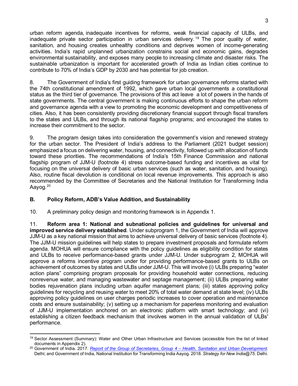urban reform agenda, inadequate incentives for reforms, weak financial capacity of ULBs, and inadequate private sector participation in urban services delivery.<sup>[19](#page-7-1)</sup> The poor quality of water, sanitation, and housing creates unhealthy conditions and deprives women of income-generating activities. India's rapid unplanned urbanization constrains social and economic gains, degrades environmental sustainability, and exposes many people to increasing climate and disaster risks. The sustainable urbanization is important for accelerated growth of India as Indian cities continue to contribute to 70% of India's GDP by 2030 and has potential for job creation.

8. The Government of India's first guiding framework for urban governance reforms started with the 74th constitutional amendment of 1992, which gave urban local governments a constitutional status as the third tier of governance. The provisions of this act leave a lot of powers in the hands of state governments. The central government is making continuous efforts to shape the urban reform and governance agenda with a view to promoting the economic development and competitiveness of cities. Also, it has been consistently providing discretionary financial support through fiscal transfers to the states and ULBs, and through its national flagship programs; and encouraged the states to increase their commitment to the sector.

9. The program design takes into consideration the government's vision and renewed strategy for the urban sector. The President of India's address to the Parliament (2021 budget session) emphasized a focus on delivering water, housing, and connectivity, followed up with allocation of funds toward these priorities. The recommendations of India's 15th Finance Commission and national flagship program of JJM-U (footnote 4) stress outcome-based funding and incentives as vital for focusing on the universal delivery of basic urban services (such as water, sanitation, and housing). Also, routine fiscal devolution is conditional on local revenue improvements. This approach is also recommended by the Committee of Secretaries and the National Institution for Transforming India Aayog.<sup>[20](#page-7-2)</sup>

## <span id="page-7-0"></span>**B. Policy Reform, ADB's Value Addition, and Sustainability**

10. A preliminary policy design and monitoring framework is in Appendix 1.

11. **Reform area 1: National and subnational policies and guidelines for universal and improved service delivery established**. Under subprogram 1, the Government of India will approve JJM-U as a key national mission that aims to achieve universal delivery of basic services (footnote 4). The JJM-U mission guidelines will help states to prepare investment proposals and formulate reform agenda. MOHUA will ensure compliance with the policy guidelines as eligibility condition for states and ULBs to receive performance-based grants under JJM-U. Under subprogram 2, MOHUA will approve a reforms incentive program under for providing performance-based grants to ULBs on achievement of outcomes by states and ULBs under JJM-U. This will involve (i) ULBs preparing "water action plans" comprising program proposals for providing household water connections, reducing nonrevenue water, and managing wastewater and septage management; (ii) ULBs preparing water bodies rejuvenation plans including urban aquifer management plans; (iii) states approving policy guidelines for recycling and reusing water to meet 20% of total water demand at state level; (iv) ULBs approving policy guidelines on user charges periodic increases to cover operation and maintenance costs and ensure sustainability; (v) setting up a mechanism for paperless monitoring and evaluation of JJM-U implementation anchored on an electronic platform with smart technology; and (vi) establishing a citizen feedback mechanism that involves women in the annual validation of ULBs' performance.

<span id="page-7-1"></span><sup>19</sup> Sector Assessment (Summary): Water and Other Urban Infrastructure and Services (accessible from the list of linked documents in Appendix 2).

<span id="page-7-2"></span><sup>20</sup> Government of India. 2017. *[Report of the Group of Secretaries, Group 4 –](https://smartnet.niua.org/sites/default/files/resources/report_of_sectoral_group_of_secretaries_on_health_sanitation_urban_development.pdf) Health, Sanitation and Urban Development.*  Delhi; and Government of India, National Institution for Transforming India Aayog. 2018*. Strategy for New India@75*. Delhi.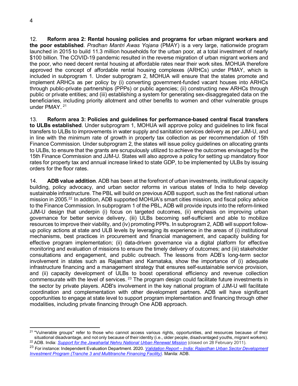12. **Reform area 2: Rental housing policies and programs for urban migrant workers and the poor established**. *Pradhan Mantri Awas Yojana* (PMAY) is a very large, nationwide program launched in 2015 to build 11.3 million households for the urban poor, at a total investment of nearly \$100 billion. The COVID-19 pandemic resulted in the reverse migration of urban migrant workers and the poor, who need decent rental housing at affordable rates near their work sites. MOHUA therefore approved the concept of affordable rental housing complexes (ARHCs) under PMAY, which is included in subprogram 1. Under subprogram 2, MOHUA will ensure that the states promote and implement ARHCs as per policy by (i) converting government-funded vacant houses into ARHCs through public-private partnerships (PPPs) or public agencies; (ii) constructing new ARHCs through public or private entities; and (iii) establishing a system for generating sex-disaggregated data on the beneficiaries, including priority allotment and other benefits to women and other vulnerable groups under PMAY. [21](#page-8-0)

13. **Reform area 3: Policies and guidelines for performance-based central fiscal transfers to ULBs established**. Under subprogram 1, MOHUA will approve policy and guidelines to link fiscal transfers to ULBs to improvements in water supply and sanitation services delivery as per JJM-U, and in line with the minimum rate of growth in property tax collection as per recommendation of 15th Finance Commission. Under subprogram 2, the states will issue policy guidelines on allocating grants to ULBs, to ensure that the grants are scrupulously utilized to achieve the outcomes envisaged by the 15th Finance Commission and JJM-U. States will also approve a policy for setting up mandatory floor rates for property tax and annual increase linked to state GDP, to be implemented by ULBs by issuing orders for the floor rates.

14. **ADB value addition**. ADB has been at the forefront of urban investments, institutional capacity building, policy advocacy, and urban sector reforms in various states of India to help develop sustainable infrastructure. The PBL will build on previous ADB support, such as the first national urban mission in 2005. [22](#page-8-1) In addition, ADB supported MOHUA's smart cities mission, and fiscal policy advice to the Finance Commission. In subprogram 1 of the PBL, ADB will provide inputs into the reform-linked JJM-U design that underpin (i) focus on targeted outcomes, (ii) emphasis on improving urban governance for better service delivery, (iii) ULBs becoming self-sufficient and able to mobilize resources to improve their viability, and (iv) promoting PPPs. In subprogram 2, ADB will support followup policy actions at state and ULB levels by leveraging its experience in the areas of (i) institutional mechanisms, best practices in procurement and financial management, and capacity building for effective program implementation; (ii) data-driven governance via a digital platform for effective monitoring and evaluation of missions to ensure the timely delivery of outcomes; and (iii) stakeholder consultations and engagement, and public outreach. The lessons from ADB's long-term sector involvement in states such as Rajasthan and Karnataka, show the importance of (i) adequate infrastructure financing and a management strategy that ensures self-sustainable service provision, and (ii) capacity development of ULBs to boost operational efficiency and revenue collection commensurate with the level of services.<sup>[23](#page-8-2)</sup> The program design could facilitate future investments in the sector by private players. ADB's involvement in the key national program of JJM-U will facilitate coordination and complementation with other development partners. ADB will have significant opportunities to engage at state level to support program implementation and financing through other modalities, including private financing through One ADB approach.

<span id="page-8-0"></span><sup>&</sup>lt;sup>21</sup> "Vulnerable groups" refer to those who cannot access various rights, opportunities, and resources because of their situational disadvantage, and not only because of their identity (i.e., older people, disadvantaged youths, migrant workers). <sup>22</sup> ADB. India: *[Support for the Jawaharlal Nehru National Urban Renewal Mission](https://www.adb.org/projects/39645-012/main#project-overview)* (closed on 28 February 2011).

<span id="page-8-2"></span><span id="page-8-1"></span><sup>23</sup> For instance: Independent Evaluation Department. 2020. *Validation Report – [India: Rajasthan Urban Sector Development](https://www.adb.org/sites/default/files/evaluation-document/663591/files/pvr-2725.pdf)  [Investment Program \(Tranche 3 and Multitranche Financing Facility\)](https://www.adb.org/sites/default/files/evaluation-document/663591/files/pvr-2725.pdf)*. Manila: ADB.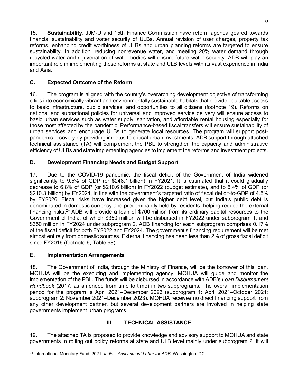15. **Sustainability**. JJM-U and 15th Finance Commission have reform agenda geared towards financial sustainability and water security of ULBs. Annual revision of user charges, property tax reforms, enhancing credit worthiness of ULBs and urban planning reforms are targeted to ensure sustainability. In addition, reducing nonrevenue water, and meeting 20% water demand through recycled water and rejuvenation of water bodies will ensure future water security. ADB will play an important role in implementing these reforms at state and ULB levels with its vast experience in India and Asia.

## <span id="page-9-0"></span>**C. Expected Outcome of the Reform**

16. The program is aligned with the country's overarching development objective of transforming cities into economically vibrant and environmentally sustainable habitats that provide equitable access to basic infrastructure, public services, and opportunities to all citizens (footnote 19). Reforms on national and subnational policies for universal and improved service delivery will ensure access to basic urban services such as water supply, sanitation, and affordable rental housing especially for those most affected by the pandemic. Performance-based fiscal transfers will ensure sustainability of urban services and encourage ULBs to generate local resources. The program will support postpandemic recovery by providing impetus to critical urban investments. ADB support through attached technical assistance (TA) will complement the PBL to strengthen the capacity and administrative efficiency of ULBs and state implementing agencies to implement the reforms and investment projects.

## <span id="page-9-1"></span>**D. Development Financing Needs and Budget Support**

17. Due to the COVID-19 pandemic, the fiscal deficit of the Government of India widened significantly to 9.5% of GDP (or \$248.1 billion) in FY2021. It is estimated that it could gradually decrease to 6.8% of GDP (or \$210.6 billion) in FY2022 (budget estimate), and to 5.4% of GDP (or \$210.3 billion) by FY2024, in line with the government's targeted ratio of fiscal deficit-to-GDP of 4.5% by FY2026. Fiscal risks have increased given the higher debt level, but India's public debt is denominated in domestic currency and predominantly held by residents, helping reduce the external financing risks.[24](#page-9-4) ADB will provide a loan of \$700 million from its ordinary capital resources to the Government of India, of which \$350 million will be disbursed in FY2022 under subprogram 1, and \$350 million in FY2024 under subprogram 2. ADB financing for each subprogram comprises 0.17% of the fiscal deficit for both FY2022 and FY2024. The government's financing requirement will be met almost entirely from domestic sources. External financing has been less than 2% of gross fiscal deficit since FY2016 (footnote 6, Table 98).

## <span id="page-9-2"></span>**E. Implementation Arrangements**

18. The Government of India, through the Ministry of Finance, will be the borrower of this loan. MOHUA will be the executing and implementing agency. MOHUA will guide and monitor the implementation of the PBL. The funds will be disbursed in accordance with ADB's *Loan Disbursement Handbook* (2017, as amended from time to time) in two subprograms. The overall implementation period for the program is April 2021–December 2023 (subprogram 1: April 2021–October 2021; subprogram 2: November 2021–December 2023). MOHUA receives no direct financing support from any other development partner, but several development partners are involved in helping state governments implement urban programs.

## **III. TECHNICAL ASSISTANCE**

<span id="page-9-3"></span>19. The attached TA is proposed to provide knowledge and advisory support to MOHUA and state governments in rolling out policy reforms at state and ULB level mainly under subprogram 2. It will

<span id="page-9-4"></span><sup>24</sup> International Monetary Fund. 2021. *India—Assessment Letter for ADB*. Washington, DC.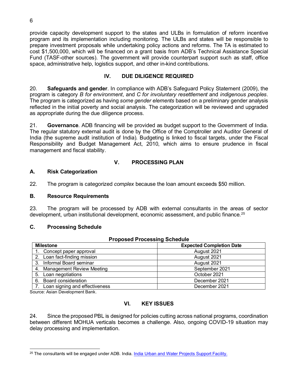provide capacity development support to the states and ULBs in formulation of reform incentive program and its implementation including monitoring. The ULBs and states will be responsible to prepare investment proposals while undertaking policy actions and reforms. The TA is estimated to cost \$1,500,000, which will be financed on a grant basis from ADB's Technical Assistance Special Fund (TASF-other sources). The government will provide counterpart support such as staff, office space, administrative help, logistics support, and other in-kind contributions.

#### **IV. DUE DILIGENCE REQUIRED**

<span id="page-10-0"></span>20. **Safeguards and gender**. In compliance with ADB's Safeguard Policy Statement (2009), the program is category *B for environment*, and *C for involuntary resettlement* and *indigenous peoples*. The program is categorized as having *some gender elements* based on a preliminary gender analysis reflected in the initial poverty and social analysis. The categorization will be reviewed and upgraded as appropriate during the due diligence process.

21. **Governance**. ADB financing will be provided as budget support to the Government of India. The regular statutory external audit is done by the Office of the Comptroller and Auditor General of India (the supreme audit institution of India). Budgeting is linked to fiscal targets, under the Fiscal Responsibility and Budget Management Act, 2010, which aims to ensure prudence in fiscal management and fiscal stability.

#### **V. PROCESSING PLAN**

#### <span id="page-10-2"></span><span id="page-10-1"></span>**A. Risk Categorization**

22. The program is categorized *complex* because the loan amount exceeds \$50 million.

#### <span id="page-10-3"></span>**B. Resource Requirements**

23. The program will be processed by ADB with external consultants in the areas of sector development, urban institutional development, economic assessment, and public finance.<sup>[25](#page-10-6)</sup>

#### <span id="page-10-4"></span>**C. Processing Schedule**

| r rupused r rucessing ochedule   |                                 |  |  |  |  |  |
|----------------------------------|---------------------------------|--|--|--|--|--|
| <b>Milestone</b>                 | <b>Expected Completion Date</b> |  |  |  |  |  |
| 1. Concept paper approval        | August 2021                     |  |  |  |  |  |
| 2. Loan fact-finding mission     | August 2021                     |  |  |  |  |  |
| 3. Informal Board seminar        | August 2021                     |  |  |  |  |  |
| 4. Management Review Meeting     | September 2021                  |  |  |  |  |  |
| 5. Loan negotiations             | October 2021                    |  |  |  |  |  |
| <b>Board consideration</b><br>6. | December 2021                   |  |  |  |  |  |
| Loan signing and effectiveness   | December 2021                   |  |  |  |  |  |

#### **Proposed Processing Schedule**

<span id="page-10-5"></span>Source: Asian Development Bank.

#### **VI. KEY ISSUES**

24. Since the proposed PBL is designed for policies cutting across national programs, coordination between different MOHUA verticals becomes a challenge. Also, ongoing COVID-19 situation may delay processing and implementation.

<span id="page-10-6"></span><sup>25</sup> The consultants will be engaged under ADB. India. India [Urban and Water Projects Support](https://www.adb.org/projects/53067-002/main) Facility.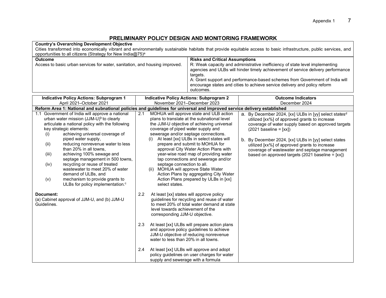## **PRELIMINARY POLICY DESIGN AND MONITORING FRAMEWORK**

| <b>Country's Overarching Development Objective</b><br>Cities transformed into economically vibrant and environmentally sustainable habitats that provide equitable access to basic infrastructure, public services, and<br>opportunities to all citizens (Strategy for New India@75) <sup>a</sup>                                                                                                                                                                                                                                                                                                                                                                                                                                                                                                            |                                                                                                                                                                                                                                                                                                                                                                 |                                                                                                                                                                                                                                                                                                                                                                                                                                                                                                                                                                                                                                                                                                                                                                                                        |                                                                                                                                                                                                                                                                                                                                                                                                              |  |  |  |  |  |
|--------------------------------------------------------------------------------------------------------------------------------------------------------------------------------------------------------------------------------------------------------------------------------------------------------------------------------------------------------------------------------------------------------------------------------------------------------------------------------------------------------------------------------------------------------------------------------------------------------------------------------------------------------------------------------------------------------------------------------------------------------------------------------------------------------------|-----------------------------------------------------------------------------------------------------------------------------------------------------------------------------------------------------------------------------------------------------------------------------------------------------------------------------------------------------------------|--------------------------------------------------------------------------------------------------------------------------------------------------------------------------------------------------------------------------------------------------------------------------------------------------------------------------------------------------------------------------------------------------------------------------------------------------------------------------------------------------------------------------------------------------------------------------------------------------------------------------------------------------------------------------------------------------------------------------------------------------------------------------------------------------------|--------------------------------------------------------------------------------------------------------------------------------------------------------------------------------------------------------------------------------------------------------------------------------------------------------------------------------------------------------------------------------------------------------------|--|--|--|--|--|
| <b>Outcome</b><br>Access to basic urban services for water, sanitation, and housing improved.                                                                                                                                                                                                                                                                                                                                                                                                                                                                                                                                                                                                                                                                                                                |                                                                                                                                                                                                                                                                                                                                                                 | <b>Risks and Critical Assumptions</b><br>R: Weak capacity and administrative inefficiency of state level implementing<br>agencies and ULBs will hinder timely achievement of service delivery performance<br>targets.<br>A: Grant support and performance-based schemes from Government of India will<br>encourage states and cities to achieve service delivery and policy reform<br>outcomes.                                                                                                                                                                                                                                                                                                                                                                                                        |                                                                                                                                                                                                                                                                                                                                                                                                              |  |  |  |  |  |
| <b>Indicative Policy Actions: Subprogram 1</b><br>April 2021-October 2021                                                                                                                                                                                                                                                                                                                                                                                                                                                                                                                                                                                                                                                                                                                                    | <b>Indicative Policy Actions: Subprogram 2</b><br>November 2021-December 2023                                                                                                                                                                                                                                                                                   | <b>Outcome Indicators</b><br>December 2024                                                                                                                                                                                                                                                                                                                                                                                                                                                                                                                                                                                                                                                                                                                                                             |                                                                                                                                                                                                                                                                                                                                                                                                              |  |  |  |  |  |
| Reform Area 1: National and subnational policies and guidelines for universal and improved service delivery established<br>Government of India will approve a national<br>1.1<br>urban water mission (JJM-U) <sup>b</sup> to clearly<br>articulate a national policy with the following<br>key strategic elements:<br>achieving universal coverage of<br>(i)<br>piped water supply,<br>reducing nonrevenue water to less<br>(ii)<br>than 20% in all towns,<br>achieving 100% sewage and<br>(iii)<br>septage management in 500 towns,<br>recycling or reuse of treated<br>(iv)<br>wastewater to meet 20% of water<br>demand of ULBs, and<br>(v)<br>mechanism to provide grants to<br>ULBs for policy implementation. <sup>c</sup><br>Document:<br>(a) Cabinet approval of JJM-U, and (b) JJM-U<br>Guidelines. | 2.1<br>coverage of piped water supply and<br>septage connection to all.<br>(ii) MOHUA will approve State Water<br>select states.<br>2.2<br>At least [xx] states will approve policy<br>level towards achievement of the<br>corresponding JJM-U objective.<br>2.3<br>water to less than 20% in all towns.<br>$2.4^{\circ}$<br>supply and sewerage with a formula | MOHUA will approve state and ULB action<br>plans to translate at the subnational level<br>the JJM-U objective of achieving universal<br>sewerage and/or septage connections.<br>At least [xx] ULBs in select states will<br>prepare and submit to MOHUA for<br>approval City Water Action Plans with<br>year-wise road map of providing water<br>tap connections and sewerage and/or<br>Action Plans by aggregating City Water<br>Action Plans prepared by ULBs in [xx]<br>guidelines for recycling and reuse of water<br>to meet 20% of total water demand at state<br>At least [xx] ULBs will prepare action plans<br>and approve policy guidelines to achieve<br>JJM-U objective of reducing nonrevenue<br>At least [xx] ULBs will approve and adopt<br>policy guidelines on user charges for water | a. By December 2024, [xx] ULBs in [yy] select statesd<br>utilized [xx%] of approved grants to increase<br>coverage of water supply based on approved targets<br>$(2021$ baseline = $[xx]$ )<br>b. By December 2024, [xx] ULBs in [yy] select states<br>utilized [xx%] of approved grants to increase<br>coverage of wastewater and septage management<br>based on approved targets (2021 baseline $= [xx]$ ) |  |  |  |  |  |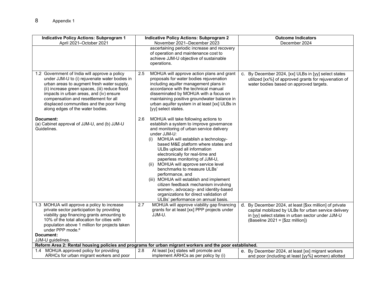| <b>Indicative Policy Actions: Subprogram 1</b><br>April 2021-October 2021                                                                                                                                                                                                                                                                                           | <b>Indicative Policy Actions: Subprogram 2</b><br>November 2021-December 2023                                                                                                                                                                                                                                                                                                                                                                                                                                                                                                                                                                        | <b>Outcome Indicators</b><br>December 2024                                                                                                                                                               |
|---------------------------------------------------------------------------------------------------------------------------------------------------------------------------------------------------------------------------------------------------------------------------------------------------------------------------------------------------------------------|------------------------------------------------------------------------------------------------------------------------------------------------------------------------------------------------------------------------------------------------------------------------------------------------------------------------------------------------------------------------------------------------------------------------------------------------------------------------------------------------------------------------------------------------------------------------------------------------------------------------------------------------------|----------------------------------------------------------------------------------------------------------------------------------------------------------------------------------------------------------|
|                                                                                                                                                                                                                                                                                                                                                                     | ascertaining periodic increase and recovery<br>of operation and maintenance cost to<br>achieve JJM-U objective of sustainable<br>operations.                                                                                                                                                                                                                                                                                                                                                                                                                                                                                                         |                                                                                                                                                                                                          |
| 1.2 Government of India will approve a policy<br>under JJM-U to (i) rejuvenate water bodies in<br>urban areas to augment fresh water supply,<br>(ii) increase green spaces, (iii) reduce flood<br>impacts in urban areas, and (iv) ensure<br>compensation and resettlement for all<br>displaced communities and the poor living<br>along edges of the water bodies. | MOHUA will approve action plans and grant<br>2.5<br>proposals for water bodies rejuvenation<br>including aquifer management plans in<br>accordance with the technical manual<br>disseminated by MOHUA with a focus on<br>maintaining positive groundwater balance in<br>urban aquifer system in at least [xx] ULBs in<br>[yy] select states.                                                                                                                                                                                                                                                                                                         | c. By December 2024, [xx] ULBs in [yy] select states<br>utilized [xx%] of approved grants for rejuvenation of<br>water bodies based on approved targets.                                                 |
| Document:<br>(a) Cabinet approval of JJM-U, and (b) JJM-U<br>Guidelines.                                                                                                                                                                                                                                                                                            | 2.6<br>MOHUA will take following actions to<br>establish a system to improve governance<br>and monitoring of urban service delivery<br>under JJM-U:<br>MOHUA will establish a technology-<br>(i)<br>based M&E platform where states and<br>ULBs upload all information<br>electronically for real-time and<br>paperless monitoring of JJM-U,<br>(ii) MOHUA will approve service level<br>benchmarks to measure ULBs'<br>performance, and<br>(iii) MOHUA will establish and implement<br>citizen feedback mechanism involving<br>women-, advocacy- and identity-based<br>organizations for direct validation of<br>ULBs' performance on annual basis. |                                                                                                                                                                                                          |
| 1.3 MOHUA will approve a policy to increase<br>private sector participation by providing<br>viability gap financing grants amounting to<br>10% of the total allocation for cities with<br>population above 1 million for projects taken<br>under PPP mode. <sup>e</sup><br>Document:                                                                                | MOHUA will approve viability gap financing<br>2.7<br>grants for at least [xx] PPP projects under<br>JJM-U.                                                                                                                                                                                                                                                                                                                                                                                                                                                                                                                                           | d. By December 2024, at least [\$xx million] of private<br>capital mobilized by ULBs for urban service delivery<br>in [yy] select states in urban sector under JJM-U<br>(Baseline 2021 = [\$zz million]) |
| JJM-U guidelines.                                                                                                                                                                                                                                                                                                                                                   |                                                                                                                                                                                                                                                                                                                                                                                                                                                                                                                                                                                                                                                      |                                                                                                                                                                                                          |
| MOHUA approved policy for providing<br>1.4                                                                                                                                                                                                                                                                                                                          | Reform Area 2: Rental housing policies and programs for urban migrant workers and the poor established.<br>At least [xx] states will promote and<br>2.8                                                                                                                                                                                                                                                                                                                                                                                                                                                                                              |                                                                                                                                                                                                          |
| ARHCs for urban migrant workers and poor                                                                                                                                                                                                                                                                                                                            | implement ARHCs as per policy by (i)                                                                                                                                                                                                                                                                                                                                                                                                                                                                                                                                                                                                                 | e. By December 2024, at least [xx] migrant workers<br>and poor (including at least [yy%] women) allotted                                                                                                 |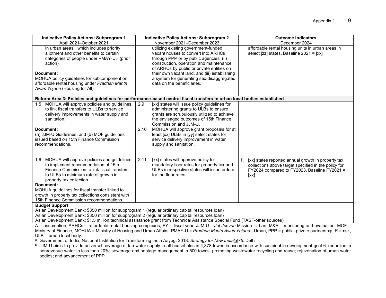| <b>Indicative Policy Actions: Subprogram 1</b><br>April 2021-October 2021                                                                                                                                                                                                                                                                                                         | <b>Indicative Policy Actions: Subprogram 2</b><br>November 2021-December 2023                                                                                                                                                                                                                                                                                                        | <b>Outcome Indicators</b><br>December 2024                                                                                                                         |
|-----------------------------------------------------------------------------------------------------------------------------------------------------------------------------------------------------------------------------------------------------------------------------------------------------------------------------------------------------------------------------------|--------------------------------------------------------------------------------------------------------------------------------------------------------------------------------------------------------------------------------------------------------------------------------------------------------------------------------------------------------------------------------------|--------------------------------------------------------------------------------------------------------------------------------------------------------------------|
| in urban areas, f which includes priority<br>allotment and other benefits to certain<br>categories of people under PMAY-U.9 (prior<br>action)<br>Document:<br>MOHUA policy guidelines for subcomponent on<br>affordable rental housing under Pradhan Mantri<br>Awas Yojana (Housing for All).                                                                                     | utilizing existing government-funded<br>vacant houses to convert into ARHCs<br>through PPP or by public agencies, (ii)<br>construction, operation and maintenance<br>of ARHCs by public or private entities on<br>their own vacant land, and (iii) establishing<br>a system for generating sex-disaggregated<br>data on the beneficiaries.                                           | affordable rental housing units in urban areas in<br>select [zz] states. Baseline 2021 = [xx]                                                                      |
|                                                                                                                                                                                                                                                                                                                                                                                   | Reform Area 3: Policies and guidelines for performance-based central fiscal transfers to urban local bodies established                                                                                                                                                                                                                                                              |                                                                                                                                                                    |
| 1.5 MOHUA will approve policies and guidelines<br>to link fiscal transfers to ULBs to service<br>delivery improvements in water supply and<br>sanitation.<br>Document:<br>(a) JJM-U Guidelines, and (b) MOF guidelines<br>issued based on 15th Finance Commission<br>recommendations.                                                                                             | [xx] states will issue policy guidelines for<br>2.9<br>administering grants to ULBs to ensure<br>grants are scrupulously utilized to achieve<br>the envisaged outcomes of 15th Finance<br>Commission and JJM-U.<br>MOHUA will approve grant proposals for at<br>2.10<br>least [xx] ULBs in [yy] select states for<br>service delivery improvement in water<br>supply and sanitation. |                                                                                                                                                                    |
| MOHUA will approve policies and guidelines<br>1.6<br>to implement recommendation of 15th<br>Finance Commission to link fiscal transfers<br>to ULBs to minimum rate of growth in<br>property tax collection.<br>Document:<br>MOHUA guidelines for fiscal transfer linked to<br>growth in property tax collections consistent with<br>15th Finance Commission recommendations.<br>. | 2.11<br>[xx] states will approve policy for<br>mandatory floor rates for property tax and<br>ULBs in respective states will issue orders<br>for the floor rates.                                                                                                                                                                                                                     | [xx] states reported annual growth in property tax<br>collections above target specified in the policy for<br>FY2024 compared to FY2023. Baseline FY2021 =<br>[xx] |

#### **Budget Support**

Asian Development Bank: \$350 million for subprogram 1 (regular ordinary capital resources loan)

Asian Development Bank: \$350 million for subprogram 2 (regular ordinary capital resources loan)

Asian Development Bank: \$1.5 million technical assistance grant from Technical Assistance Special Fund (TASF-other sources)

A = assumption, ARHCs = affordable rental housing complexes, FY = fiscal year, JJM-U = *Jal Jeevan* Mission–Urban, M&E = monitoring and evaluation, MOF = Ministry of Finance, MOHUA = Ministry of Housing and Urban Affairs, PMAY-U = *Pradhan Mantri Awas Yojana* - Urban, PPP = public–private partnership, R = risk, ULB = urban local body.

<sup>a</sup> Government of India, National Institution for Transforming India Aayog. 2018. *Strategy for New India@75.* Delhi.

<sup>b</sup> JJM-U aims to provide universal coverage of tap water supply to all households in 4,378 towns in accordance with sustainable development goal 6; reduction in nonrevenue water to less than 20%; sewerage and septage management in 500 towns; promoting wastewater recycling and reuse; rejuvenation of urban water bodies; and advancement of PPP.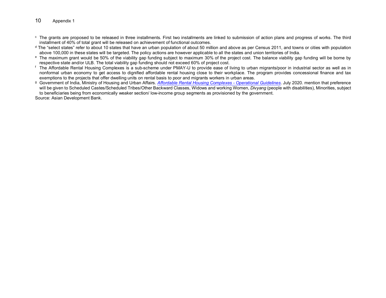#### 10 Appendix 1

- <sup>c</sup> The grants are proposed to be released in three installments. First two installments are linked to submission of action plans and progress of works. The third installment of 40% of total grant will be released on achievement of functional outcomes.
- $d$  The "select states" refer to about 10 states that have an urban population of about 50 million and above as per Census 2011, and towns or cities with population above 100,000 in these states will be targeted. The policy actions are however applicable to all the states and union territories of India.
- <sup>e</sup> The maximum grant would be 50% of the viability gap funding subject to maximum 30% of the project cost. The balance viability gap funding will be borne by respective state and/or ULB. The total viability gap funding should not exceed 60% of project cost.
- <sup>f</sup> The Affordable Rental Housing Complexes is a sub-scheme under PMAY-U to provide ease of living to urban migrants/poor in industrial sector as well as in nonformal urban economy to get access to dignified affordable rental housing close to their workplace. The program provides concessional finance and tax exemptions to the projects that offer dwelling units on rental basis to poor and migrants workers in urban areas.
- <sup>g</sup> Government of India, Ministry of Housing and Urban Affairs. *[Affordable Rental Housing Complexes](http://arhc.mohua.gov.in/filesUpload/Operational-Guidelines-of-ARHCs.pdf) - Operational Guidelines*. July 2020. mention that preference will be given to Scheduled Castes/Scheduled Tribes/Other Backward Classes, Widows and working Women, *Divyang* (people with disabilities), Minorities, subject to beneficiaries being from economically weaker section/ low-income group segments as provisioned by the government.

Source: Asian Development Bank.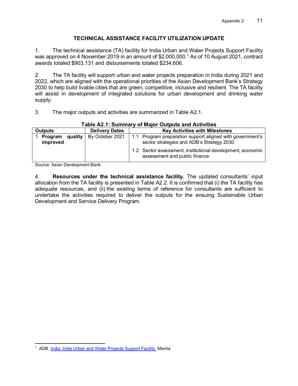## **TECHNICAL ASSISTANCE FACILITY UTILIZATION UPDATE**

1. The technical assistance (TA) facility for India Urban and Water Projects Support Facility was approved on 4 November 20[1](#page-15-0)9 in an amount of \$2,000,000.<sup>1</sup> As of 10 August 2021, contract awards totaled \$903,131 and disbursements totaled \$234,606.

2. The TA facility will support urban and water projects preparation in India during 2021 and 2022, which are aligned with the operational priorities of the Asian Development Bank's Strategy 2030 to help build livable cities that are green, competitive, inclusive and resilient. The TA facility will assist in development of integrated solutions for urban development and drinking water supply.

3. The major outputs and activities are summarized in Table A2.1.

|                                   | rapie AZ. I. Sulfilliary of Major Outputs and Activities |                                                                                                        |  |  |  |  |  |  |  |  |
|-----------------------------------|----------------------------------------------------------|--------------------------------------------------------------------------------------------------------|--|--|--|--|--|--|--|--|
| <b>Outputs</b>                    | <b>Delivery Dates</b>                                    | <b>Key Activities with Milestones</b>                                                                  |  |  |  |  |  |  |  |  |
| quality<br>1. Program<br>improved | By October 2021                                          | 1.1 Program preparation support aligned with government's<br>sector strategies and ADB's Strategy 2030 |  |  |  |  |  |  |  |  |
|                                   |                                                          | 1.2 Sector assessment, institutional development, economic<br>assessment and public finance            |  |  |  |  |  |  |  |  |

## **Table A2.1: Summary of Major Outputs and Activities**

Source: Asian Development Bank.

4. **Resources under the technical assistance facility.** The updated consultants' input allocation from the TA facility is presented in Table A2.2. It is confirmed that (i) the TA facility has adequate resources, and (ii) the existing terms of reference for consultants are sufficient to undertake the activities required to deliver the outputs for the ensuing Sustainable Urban Development and Service Delivery Program.

<span id="page-15-0"></span><sup>&</sup>lt;sup>1</sup> ADB. India. [India Urban and Water Projects Support Facility.](https://www.adb.org/projects/53067-002/main) Manila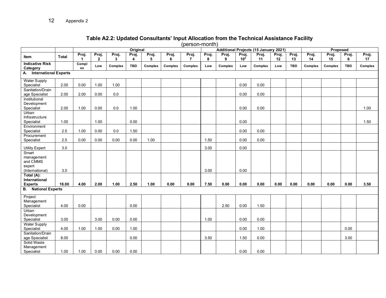## **Table A2.2: Updated Consultants' Input Allocation from the Technical Assistance Facility**

(person-month)

|                                      |              | ------------<br>Original<br>Additional Projects (15 January 2021) |                         |            |            |            |            | Proposed                |            |            |                          |             |             |             |             |             |            |             |
|--------------------------------------|--------------|-------------------------------------------------------------------|-------------------------|------------|------------|------------|------------|-------------------------|------------|------------|--------------------------|-------------|-------------|-------------|-------------|-------------|------------|-------------|
| Item                                 | <b>Total</b> | Proj.<br>1                                                        | Proj.<br>$\overline{2}$ | Proj.<br>3 | Proj.<br>4 | Proj.<br>5 | Proj.<br>6 | Proj.<br>$\overline{7}$ | Proj.<br>8 | Proj.<br>9 | Proj.<br>10 <sup>a</sup> | Proj.<br>11 | Proj.<br>12 | Proj.<br>13 | Proj.<br>14 | Proj.<br>15 | Proj.<br>6 | Proj.<br>17 |
| <b>Indicative Risk</b><br>Category   |              | Compl<br>ex                                                       | Low                     | Complex    | <b>TBD</b> | Complex    | Complex    | Complex                 | Low        | Complex    | Low                      | Complex     | Low         | <b>TBD</b>  | Complex     | Complex     | <b>TBD</b> | Complex     |
| A. International Experts             |              |                                                                   |                         |            |            |            |            |                         |            |            |                          |             |             |             |             |             |            |             |
| <b>Water Supply</b><br>Specialist    | 2.00         | 0.00                                                              | 1.00                    | 1.00       |            |            |            |                         |            |            | 0.00                     | 0.00        |             |             |             |             |            |             |
| Sanitation/Drain                     |              |                                                                   |                         |            |            |            |            |                         |            |            |                          |             |             |             |             |             |            |             |
| age Specialist                       | 2.00         | 2.00                                                              | 0.00                    | $0.0\,$    |            |            |            |                         |            |            | 0.00                     | 0.00        |             |             |             |             |            |             |
| Institutional                        |              |                                                                   |                         |            |            |            |            |                         |            |            |                          |             |             |             |             |             |            |             |
| Development                          |              |                                                                   |                         |            |            |            |            |                         |            |            |                          |             |             |             |             |             |            |             |
| Specialist                           | 2.00         | 1.00                                                              | 0.00                    | 0.0        | 1.00       |            |            |                         |            |            | 0.00                     | 0.00        |             |             |             |             |            | 1.00        |
| Urban                                |              |                                                                   |                         |            |            |            |            |                         |            |            |                          |             |             |             |             |             |            |             |
| Infrastructure                       |              |                                                                   |                         |            |            |            |            |                         |            |            |                          |             |             |             |             |             |            |             |
| Specialist                           | 1.00         |                                                                   | 1.00                    |            | 0.00       |            |            |                         |            |            | 0.00                     |             |             |             |             |             |            | 1.50        |
| Environment                          |              |                                                                   |                         |            |            |            |            |                         |            |            |                          |             |             |             |             |             |            |             |
| Specialist                           | 2.5          | 1.00                                                              | 0.00                    | 0.0        | 1.50       |            |            |                         |            |            | 0.00                     | 0.00        |             |             |             |             |            |             |
| Procurement                          |              |                                                                   |                         |            |            |            |            |                         |            |            |                          |             |             |             |             |             |            |             |
| Specialist                           | 2.5          | 0.00                                                              | 0.00                    | 0.00       | 0.00       | 1.00       |            |                         | 1.50       |            | 0.00                     | 0.00        |             |             |             |             |            |             |
| <b>Utility Expert</b>                | 3.0          |                                                                   |                         |            |            |            |            |                         | 3.00       |            | 0.00                     |             |             |             |             |             |            |             |
| Smart                                |              |                                                                   |                         |            |            |            |            |                         |            |            |                          |             |             |             |             |             |            |             |
| management                           |              |                                                                   |                         |            |            |            |            |                         |            |            |                          |             |             |             |             |             |            |             |
| and CMMS                             |              |                                                                   |                         |            |            |            |            |                         |            |            |                          |             |             |             |             |             |            |             |
| expert                               |              |                                                                   |                         |            |            |            |            |                         |            |            |                          |             |             |             |             |             |            |             |
| (International)                      | 3.0          |                                                                   |                         |            |            |            |            |                         | 3.00       |            | 0.00                     |             |             |             |             |             |            |             |
| Total (A):                           |              |                                                                   |                         |            |            |            |            |                         |            |            |                          |             |             |             |             |             |            |             |
| International                        |              |                                                                   |                         |            |            |            |            |                         |            |            |                          |             |             |             |             |             |            |             |
| <b>Experts</b>                       | 18.00        | 4.00                                                              | 2.00                    | 1.00       | 2.50       | 1.00       | 0.00       | 0.00                    | 7.50       | 0.00       | 0.00                     | 0.00        | 0.00        | 0.00        | 0.00        | 0.00        | 0.00       | 3.50        |
| <b>National Experts</b><br><b>B.</b> |              |                                                                   |                         |            |            |            |            |                         |            |            |                          |             |             |             |             |             |            |             |
| Project                              |              |                                                                   |                         |            |            |            |            |                         |            |            |                          |             |             |             |             |             |            |             |
| Management                           |              |                                                                   |                         |            |            |            |            |                         |            |            |                          |             |             |             |             |             |            |             |
| Specialist                           | 4.00         | 0.00                                                              |                         |            | 0.00       |            |            |                         |            | 2.50       | 0.00                     | 1.50        |             |             |             |             |            |             |
| Urban                                |              |                                                                   |                         |            |            |            |            |                         |            |            |                          |             |             |             |             |             |            |             |
| Development                          |              |                                                                   |                         |            |            |            |            |                         |            |            |                          |             |             |             |             |             |            |             |
| Specialist                           | 3.00         |                                                                   | 3.00                    | 0.00       | 0.00       |            |            |                         | 1.00       |            | 0.00                     | 0.00        |             |             |             |             |            |             |
| <b>Water Supply</b>                  |              |                                                                   |                         |            |            |            |            |                         |            |            |                          |             |             |             |             |             |            |             |
| Specialist                           | 4.00         | 1.00                                                              | 1.00                    | 0.00       | 1.00       |            |            |                         |            |            | 0.00                     | 1.00        |             |             |             |             | 0.00       |             |
| Sanitation/Drain                     |              |                                                                   |                         |            |            |            |            |                         |            |            |                          |             |             |             |             |             |            |             |
| age Specialist                       | 8.00         |                                                                   |                         |            | 0.00       |            |            |                         | 3.50       |            | 1.50                     | 0.00        |             |             |             |             | 3.00       |             |
| Solid Waste                          |              |                                                                   |                         |            |            |            |            |                         |            |            |                          |             |             |             |             |             |            |             |
| Management                           | 1.00         |                                                                   | 0.00                    | 0.00       |            |            |            |                         |            |            | 0.00                     | 0.00        |             |             |             |             |            |             |
| Specialist                           |              | 1.00                                                              |                         |            | 0.00       |            |            |                         |            |            |                          |             |             |             |             |             |            |             |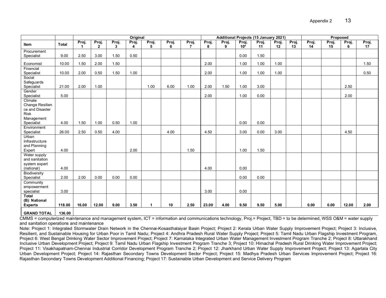|                                    |              | Original |                         |            |            |                      |            |                         | Additional Projects (15 January 2021) |            |                              |             |             |             | Proposed    |             |            |             |
|------------------------------------|--------------|----------|-------------------------|------------|------------|----------------------|------------|-------------------------|---------------------------------------|------------|------------------------------|-------------|-------------|-------------|-------------|-------------|------------|-------------|
| Item                               | <b>Total</b> | Proj.    | Proj.<br>$\overline{2}$ | Proj.<br>3 | Proj.<br>4 | Proj.<br>5           | Proj.<br>6 | Proj.<br>$\overline{7}$ | Proj.<br>8                            | Proj.<br>9 | Proj.<br>$10^{\overline{a}}$ | Proj.<br>11 | Proj.<br>12 | Proj.<br>13 | Proj.<br>14 | Proj.<br>15 | Proj.<br>6 | Proj.<br>17 |
| Procurement                        |              |          |                         |            |            |                      |            |                         |                                       |            |                              |             |             |             |             |             |            |             |
| Specialist                         | 9.00         | 2.50     | 3.00                    | 1.50       | 0.50       |                      |            |                         |                                       |            | 0.00                         | 1.50        |             |             |             |             |            |             |
| Economist                          | 10.00        | 1.50     | 2.00                    | 1.50       |            |                      |            |                         | 2.00                                  |            | 1.00                         | 1.00        | 1.00        |             |             |             |            | 1.50        |
| Financial                          |              |          |                         |            |            |                      |            |                         |                                       |            |                              |             |             |             |             |             |            |             |
| Specialist                         | 10.00        | 2.00     | 0.50                    | 1.50       | 1.00       |                      |            |                         | 2.00                                  |            | 1.00                         | 1.00        | 1.00        |             |             |             |            | 0.50        |
| Social<br>Safeguards               |              |          |                         |            |            |                      |            |                         |                                       |            |                              |             |             |             |             |             |            |             |
| Specialist                         | 21.00        | 2.00     | 1.00                    |            |            | 1.00                 | 6.00       | 1.00                    | 2.00                                  | 1.50       | 1.00                         | 3.00        |             |             |             |             | 2.50       |             |
| Gender                             |              |          |                         |            |            |                      |            |                         |                                       |            |                              |             |             |             |             |             |            |             |
| Specialist                         | 5.00         |          |                         |            |            |                      |            |                         | 2.00                                  |            | 1.00                         | 0.00        |             |             |             |             | 2.00       |             |
| Climate                            |              |          |                         |            |            |                      |            |                         |                                       |            |                              |             |             |             |             |             |            |             |
| Change Resilien<br>ce and Disaster |              |          |                         |            |            |                      |            |                         |                                       |            |                              |             |             |             |             |             |            |             |
| <b>Risk</b>                        |              |          |                         |            |            |                      |            |                         |                                       |            |                              |             |             |             |             |             |            |             |
| Management                         |              |          |                         |            |            |                      |            |                         |                                       |            |                              |             |             |             |             |             |            |             |
| Specialist                         | 4.00         | 1.50     | 1.00                    | 0.50       | 1.00       |                      |            |                         |                                       |            | 0.00                         | 0.00        |             |             |             |             |            |             |
| Environment                        |              |          |                         |            |            |                      |            |                         |                                       |            |                              |             |             |             |             |             |            |             |
| Specialist                         | 26.00        | 2.50     | 0.50                    | 4.00       |            |                      | 4.00       |                         | 4.50                                  |            | 3.00                         | 0.00        | 3.00        |             |             |             | 4.50       |             |
| Urban<br>Infrastructure            |              |          |                         |            |            |                      |            |                         |                                       |            |                              |             |             |             |             |             |            |             |
| and Planning                       |              |          |                         |            |            |                      |            |                         |                                       |            |                              |             |             |             |             |             |            |             |
| Expert                             | 4.00         |          |                         |            | 2.00       |                      |            | 1.50                    |                                       |            | 1.00                         | 1.50        |             |             |             |             |            |             |
| Water supply                       |              |          |                         |            |            |                      |            |                         |                                       |            |                              |             |             |             |             |             |            |             |
| and sanitation                     |              |          |                         |            |            |                      |            |                         |                                       |            |                              |             |             |             |             |             |            |             |
| system expert                      |              |          |                         |            |            |                      |            |                         |                                       |            |                              |             |             |             |             |             |            |             |
| (national)<br>Biodiversity         | 4.00         |          |                         |            |            |                      |            |                         | 4.00                                  |            | 0.00                         |             |             |             |             |             |            |             |
| Specialist                         | 2.00         | 2.00     | 0.00                    | 0.00       | 0.00       |                      |            |                         |                                       |            | 0.00                         | 0.00        |             |             |             |             |            |             |
| Community                          |              |          |                         |            |            |                      |            |                         |                                       |            |                              |             |             |             |             |             |            |             |
| empowerment                        |              |          |                         |            |            |                      |            |                         |                                       |            |                              |             |             |             |             |             |            |             |
| specialist                         | 3.00         |          |                         |            |            |                      |            |                         | 3.00                                  |            | 0.00                         |             |             |             |             |             |            |             |
| <b>Total</b>                       |              |          |                         |            |            |                      |            |                         |                                       |            |                              |             |             |             |             |             |            |             |
| (B): National<br><b>Experts</b>    | 118.00       | 16.00    | 12.00                   | 9.00       | 3.50       | $\blacktriangleleft$ | 10         | 2.50                    | 23.00                                 | 4.00       | 9.50                         | 9.50        | 5.00        |             | 0.00        | 0.00        | 12.00      | 2.00        |
|                                    |              |          |                         |            |            |                      |            |                         |                                       |            |                              |             |             |             |             |             |            |             |
| <b>GRAND TOTAL</b>                 | 136.00       |          |                         |            |            |                      |            |                         |                                       |            |                              |             |             |             |             |             |            |             |

CMMS = computerized maintenance and management system, ICT = information and communications technology, Proj.= Project, TBD = to be determined, WSS O&M = water supply and sanitation operations and maintenance

Note: Project 1: Integrated Stormwater Drain Network in the Chennai-Kosasthalaiyar Basin Project; Project 2: Kerala Urban Water Supply Improvement Project; Project 3: Inclusive, Resilient, and Sustainable Housing for Urban Poor in Tamil Nadu; Project 4: Andhra Pradesh Rural Water Supply Project; Project 5: Tamil Nadu Urban Flagship Investment Program, Project 6: West Bengal Drinking Water Sector Improvement Project; Project 7: Karnataka Integrated Urban Water Management Investment Program Tranche 2; Project 8: Uttarakhand Inclusive Urban Development Project; Project 9: Tamil Nadu Urban Flagship Investment Program Tranche 3; Project 10: Himachal Pradesh Rural Drinking Water Improvement Project; Project 11: Visakhapatnam-Chennai Industrial Corridor Development Program Tranche 2; Project 12: Jharkhand Urban Water Supply Improvement Project; Project 13: Agartala City Urban Development Project; Project 14: Rajasthan Secondary Towns Development Sector Project; Project 15: Madhya Pradesh Urban Services Improvement Project; Project 16: Rajasthan Secondary Towns Development Additional Financing; Project 17: Sustainable Urban Development and Service Delivery Program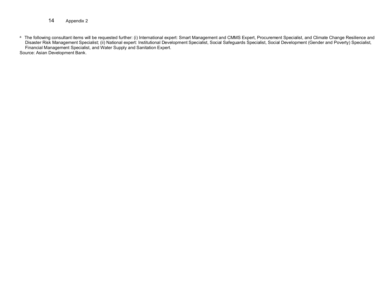- 14 Appendix 2
- a The following consultant items will be requested further: (i) International expert: Smart Management and CMMS Expert, Procurement Specialist, and Climate Change Resilience and Disaster Risk Management Specialist; (ii) National expert: Institutional Development Specialist, Social Safeguards Specialist, Social Development (Gender and Poverty) Specialist, Financial Management Specialist, and Water Supply and Sanitation Expert. Source: Asian Development Bank.